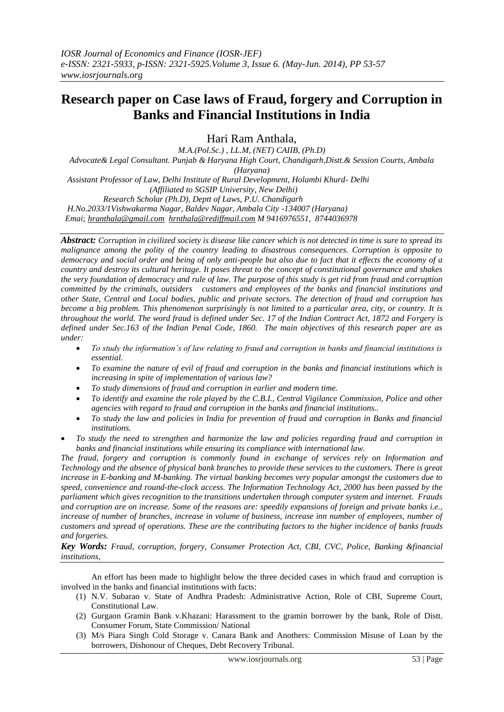# **Research paper on Case laws of Fraud, forgery and Corruption in Banks and Financial Institutions in India**

Hari Ram Anthala,

*M.A.(Pol.Sc.) , LL.M, (NET) CAIIB, (Ph.D) Advocate& Legal Consultant. Punjab & Haryana High Court, Chandigarh,Distt.& Session Courts, Ambala (Haryana) Assistant Professor of Law, Delhi Institute of Rural Development, Holambi Khurd- Delhi (Affiliated to SGSIP University, New Delhi) Research Scholar (Ph.D), Deptt of Laws, P.U. Chandigarh H.No.2033/1Vishwakarma Nagar, Baldev Nagar, Ambala City -134007 (Haryana) Emai; [hranthala@gmail.com](mailto:hranthala@gmail.com) [hrnthala@rediffmail.com](mailto:hrnthala@rediffmail.com) M 9416976551, 8744036978* 

*Abstract: Corruption in civilized society is disease like cancer which is not detected in time is sure to spread its malignance among the polity of the country leading to disastrous consequences. Corruption is opposite to democracy and social order and being of only anti-people but also due to fact that it effects the economy of a country and destroy its cultural heritage. It poses threat to the concept of constitutional governance and shakes the very foundation of democracy and rule of law. The purpose of this study is get rid from fraud and corruption committed by the criminals, outsiders customers and employees of the banks and financial institutions and other State, Central and Local bodies, public and private sectors. The detection of fraud and corruption has become a big problem. This phenomenon surprisingly is not limited to a particular area, city, or country. It is throughout the world. The word fraud is defined under Sec. 17 of the Indian Contract Act, 1872 and Forgery is defined under Sec.163 of the Indian Penal Code, 1860. The main objectives of this research paper are as under:* 

- *To study the information's of law relating to fraud and corruption in banks and financial institutions is essential.*
- *To examine the nature of evil of fraud and corruption in the banks and financial institutions which is increasing in spite of implementation of various law?*
- *To study dimensions of fraud and corruption in earlier and modern time.*
- *To identify and examine the role played by the C.B.I., Central Vigilance Commission, Police and other agencies with regard to fraud and corruption in the banks and financial institutions..*
- *To study the law and policies in India for prevention of fraud and corruption in Banks and financial institutions.*
- *To study the need to strengthen and harmonize the law and policies regarding fraud and corruption in banks and financial institutions while ensuring its compliance with international law.*

*The fraud, forgery and corruption is commonly found in exchange of services rely on Information and Technology and the absence of physical bank branches to provide these services to the customers. There is great increase in E-banking and M-banking. The virtual banking becomes very popular amongst the customers due to speed, convenience and round-the-clock access. The Information Technology Act, 2000 has been passed by the parliament which gives recognition to the transitions undertaken through computer system and internet. Frauds and corruption are on increase. Some of the reasons are: speedily expansions of foreign and private banks i.e., increase of number of branches, increase in volume of business, increase inn number of employees, number of customers and spread of operations. These are the contributing factors to the higher incidence of banks frauds and forgeries.*

*Key Words: Fraud, corruption, forgery, Consumer Protection Act, CBI, CVC, Police, Banking &financial institutions,* 

An effort has been made to highlight below the three decided cases in which fraud and corruption is involved in the banks and financial institutions with facts:

- (1) N.V. Subarao v. State of Andhra Pradesh: Administrative Action, Role of CBI, Supreme Court, Constitutional Law.
- (2) Gurgaon Gramin Bank v.Khazani: Harassment to the gramin borrower by the bank, Role of Distt. Consumer Forum, State Commission/ National
- (3) M/s Piara Singh Cold Storage v. Canara Bank and Anothers: Commission Misuse of Loan by the borrowers, Dishonour of Cheques, Debt Recovery Tribunal.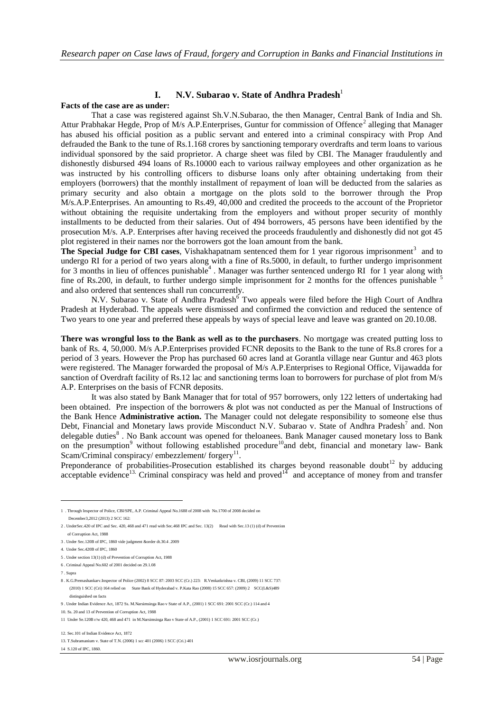# **I. N.V. Subarao v. State of Andhra Pradesh** 1

## **Facts of the case are as under:**

That a case was registered against Sh.V.N.Subarao, the then Manager, Central Bank of India and Sh. Attur Prabhakar Hegde, Prop of M/s A.P. Enterprises, Guntur for commission of Offence<sup>2</sup> alleging that Manager has abused his official position as a public servant and entered into a criminal conspiracy with Prop And defrauded the Bank to the tune of Rs.1.168 crores by sanctioning temporary overdrafts and term loans to various individual sponsored by the said proprietor. A charge sheet was filed by CBI. The Manager fraudulently and dishonestly disbursed 494 loans of Rs.10000 each to various railway employees and other organization as he was instructed by his controlling officers to disburse loans only after obtaining undertaking from their employers (borrowers) that the monthly installment of repayment of loan will be deducted from the salaries as primary security and also obtain a mortgage on the plots sold to the borrower through the Prop M/s.A.P.Enterprises. An amounting to Rs.49, 40,000 and credited the proceeds to the account of the Proprietor without obtaining the requisite undertaking from the employers and without proper security of monthly installments to be deducted from their salaries. Out of 494 borrowers, 45 persons have been identified by the prosecution M/s. A.P. Enterprises after having received the proceeds fraudulently and dishonestly did not got 45 plot registered in their names nor the borrowers got the loan amount from the bank.

The Special Judge for CBI cases, Vishakhapatnam sentenced them for 1 year rigorous imprisonment<sup>3</sup> and to undergo RI for a period of two years along with a fine of Rs.5000, in default, to further undergo imprisonment for 3 months in lieu of offences punishable<sup>4</sup>. Manager was further sentenced undergo RI for 1 year along with fine of Rs.200, in default, to further undergo simple imprisonment for 2 months for the offences punishable <sup>5</sup> and also ordered that sentences shall run concurrently.

N.V. Subarao v. State of Andhra Pradesh<sup>6</sup> Two appeals were filed before the High Court of Andhra Pradesh at Hyderabad. The appeals were dismissed and confirmed the conviction and reduced the sentence of Two years to one year and preferred these appeals by ways of special leave and leave was granted on 20.10.08.

**There was wrongful loss to the Bank as well as to the purchasers**. No mortgage was created putting loss to bank of Rs. 4, 50,000. M/s A.P.Enterprises provided FCNR deposits to the Bank to the tune of Rs.8 crores for a period of 3 years. However the Prop has purchased 60 acres land at Gorantla village near Guntur and 463 plots were registered. The Manager forwarded the proposal of M/s A.P.Enterprises to Regional Office, Vijawadda for sanction of Overdraft facility of Rs.12 lac and sanctioning terms loan to borrowers for purchase of plot from M/s A.P. Enterprises on the basis of FCNR deposits.

It was also stated by Bank Manager that for total of 957 borrowers, only 122 letters of undertaking had been obtained. Pre inspection of the borrowers & plot was not conducted as per the Manual of Instructions of the Bank Hence **Administrative action.** The Manager could not delegate responsibility to someone else thus Debt, Financial and Monetary laws provide Misconduct N.V. Subarao v. State of Andhra Pradesh<sup>7</sup> and. Non delegable duties<sup>8</sup>. No Bank account was opened for theloanees. Bank Manager caused monetary loss to Bank on the presumption<sup>9</sup> without following established procedure<sup>10</sup>and debt, financial and monetary law- Bank Scam/Criminal conspiracy/ embezzlement/ forgery<sup>11</sup>.

Preponderance of probabilities-Prosecution established its charges beyond reasonable doubt<sup>12</sup> by adducing acceptable evidence<sup>13.</sup> Criminal conspiracy was held and proved<sup>14</sup> and acceptance of money from and transfer

7 . Supra

1

8 . K.G.Premashankarv.Inspector of Police (2002) 8 SCC 87: 2003 SCC (Cr.) 223: R.Venkatkrishna v. CBI, (2009) 11 SCC 737: (2010) 1 SCC (Cri) 164 relied on State Bank of Hyderabad v. P.Kata Rao (2008) 15 SCC 657: (2009) 2 SCC(L&S)489 distinguished on facts

<sup>1 .</sup> Through Inspector of Police, CBI/SPE, A.P. Criminal Appeal No.1688 of 2008 with No.1700 of 2008 decided on December3,2012 (2013) 2 SCC 162:

<sup>2</sup> . UnderSec.420 of IPC and Sec. 420, 468 and 471 read with Sec.468 IPC and Sec. 13(2) Read with Sec.13 (1) (d) of Prevention of Corruption Act, 1988

<sup>3</sup> . Under Sec.120B of IPC, 1860 vide judgment &order dt.30.4 .2009

<sup>4.</sup> Under Sec.420B of IPC, 1860

<sup>5</sup> . Under section 13(1) (d) of Prevention of Corruption Act, 1988

<sup>6</sup> . Criminal Appeal No.602 of 2001 decided on 29.1.08

<sup>9</sup> . Under Indian Evidence Act, 1872 Ss. M.Narsimsinga Rao v State of A.P., (2001) 1 SCC 691: 2001 SCC (Cr.) 114 and 4

<sup>10.</sup> Ss. 20 and 13 of Prevention of Corruption Act, 1988

<sup>11</sup> Under Se.120B r/w 420, 468 and 471 in M.Narsimsinga Rao v State of A.P., (2001) 1 SCC 691: 2001 SCC (Cr.)

<sup>12.</sup> Sec.101 of Indian Evidence Act, 1872

<sup>13.</sup> T.Subramanium v. State of T.N. (2006) 1 scc 401 (2006) 1 SCC (Cri.) 401

<sup>14</sup> S.120 of IPC, 1860.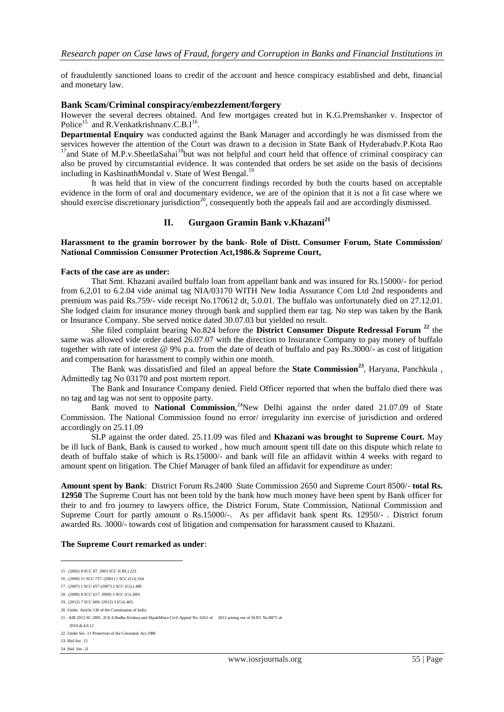of fraudulently sanctioned loans to credit of the account and hence conspiracy established and debt, financial and monetary law.

#### **Bank Scam/Criminal conspiracy/embezzlement/forgery**

However the several decrees obtained. And few mortgages created but in K.G.Premshanker v. Inspector of Police<sup>15</sup> and R.Venkatkrishnanv.C.B.I<sup>16</sup>.

**Departmental Enquiry** was conducted against the Bank Manager and accordingly he was dismissed from the services however the attention of the Court was drawn to a decision in State Bank of Hyderabadv.P.Kota Rao  $17$ and State of M.P.v.SheetlaSahai $18$ but was not helpful and court held that offence of criminal conspiracy can also be proved by circumstantial evidence. It was contended that orders be set aside on the basis of decisions including in KashinathMondal v. State of West Bengal.<sup>19</sup>

It was held that in view of the concurrent findings recorded by both the courts based on acceptable evidence in the form of oral and documentary evidence, we are of the opinion that it is not a fit case where we should exercise discretionary jurisdiction<sup>20</sup>, consequently both the appeals fail and are accordingly dismissed.

# **II. Gurgaon Gramin Bank v.Khazani<sup>21</sup>**

### **Harassment to the gramin borrower by the bank- Role of Distt. Consumer Forum, State Commission/ National Commission Consumer Protection Act,1986.& Supreme Court,**

#### **Facts of the case are as under:**

That Smt. Khazani availed buffalo loan from appellant bank and was insured for Rs.15000/- for period from 6,2,01 to 6.2.04 vide animal tag NIA/03170 WITH New India Assurance Com Ltd 2nd respondents and premium was paid Rs.759/- vide receipt No.170612 dt, 5.0.01. The buffalo was unfortunately died on 27.12.01. She lodged claim for insurance money through bank and supplied them ear tag. No step was taken by the Bank or Insurance Company. She served notice dated 30.07.03 but yielded no result.

She filed complaint bearing No.824 before the **District Consumer Dispute Redressal Forum <sup>22</sup>** the same was allowed vide order dated 26.07.07 with the direction to Insurance Company to pay money of buffalo together with rate of interest @ 9% p.a. from the date of death of buffalo and pay Rs.3000/- as cost of litigation and compensation for harassment to comply within one month.

The Bank was dissatisfied and filed an appeal before the **State Commission<sup>23</sup>**, Haryana, Panchkula , Admittedly tag No 03170 and post mortem report.

The Bank and Insurance Company denied. Field Officer reported that when the buffalo died there was no tag and tag was not sent to opposite party.

Bank moved to National Commission,<sup>24</sup>New Delhi against the order dated 21.07.09 of State Commission. The National Commission found no error/ irregularity inn exercise of jurisdiction and ordered accordingly on 25.11.09

SLP against the order dated. 25.11.09 was filed and **Khazani was brought to Supreme Court.** May be ill luck of Bank, Bank is caused to worked , how much amount spent till date on this dispute which relate to death of buffalo stake of which is Rs.15000/- and bank will file an affidavit within 4 weeks with regard to amount spent on litigation. The Chief Manager of bank filed an affidavit for expenditure as under:

**Amount spent by Bank**: District Forum Rs.2400 State Commission 2650 and Supreme Court 8500/- **total Rs. 12950** The Supreme Court has not been told by the bank how much money have been spent by Bank officer for their to and fro journey to lawyers office, the District Forum, State Commission, National Commission and Supreme Court for partly amount o Rs.15000/-. As per affidavit bank spent Rs. 12950/- . District forum awarded Rs. 3000/- towards cost of litigation and compensation for harassment caused to Khazani.

#### **The Supreme Court remarked as under**:

1

<sup>15</sup> . (2002) 8 SCC 87: 2003 SCC (CRI.) 223

<sup>16</sup> . (2009) 11 SCC 737: (2001) 1 SCC (Cri) 164

<sup>17</sup> . (2007) 1 SCC 657 (2007) 2 SCC (Cri.) 489

<sup>18</sup> . (2009) 8 SCC 617: 2009) 3 SCC (Cri.)901

<sup>19</sup> . (2012) 7 SCC 669: (2012) 3 (Cri) 463.

<sup>20</sup> .Under Article 136 of the Constitution of India

<sup>21</sup> . AIR 2012 SC 2881 .JJ K.S.Radha Krishna and DipakMisra Civil Appeal No. 6261 of 2012 arising out of SLP© No.8875 of 2010 dt.4.9.12

<sup>22</sup> .Under Sec. 11 Protection of the Consumer Act,1986

<sup>23.</sup> Ibid Sec. 15

<sup>24</sup> .Ibid Sec. 21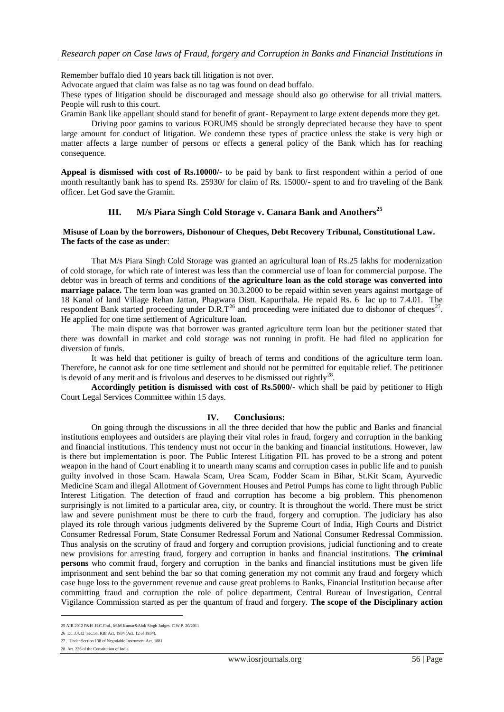Remember buffalo died 10 years back till litigation is not over.

Advocate argued that claim was false as no tag was found on dead buffalo.

These types of litigation should be discouraged and message should also go otherwise for all trivial matters. People will rush to this court.

Gramin Bank like appellant should stand for benefit of grant- Repayment to large extent depends more they get.

Driving poor gamins to various FORUMS should be strongly depreciated because they have to spent large amount for conduct of litigation. We condemn these types of practice unless the stake is very high or matter affects a large number of persons or effects a general policy of the Bank which has for reaching consequence.

**Appeal is dismissed with cost of Rs.10000/**- to be paid by bank to first respondent within a period of one month resultantly bank has to spend Rs. 25930/ for claim of Rs. 15000/- spent to and fro traveling of the Bank officer. Let God save the Gramin.

# **III. M/s Piara Singh Cold Storage v. Canara Bank and Anothers<sup>25</sup>**

#### **Misuse of Loan by the borrowers, Dishonour of Cheques, Debt Recovery Tribunal, Constitutional Law. The facts of the case as under**:

That M/s Piara Singh Cold Storage was granted an agricultural loan of Rs.25 lakhs for modernization of cold storage, for which rate of interest was less than the commercial use of loan for commercial purpose. The debtor was in breach of terms and conditions of **the agriculture loan as the cold storage was converted into marriage palace.** The term loan was granted on 30.3.2000 to be repaid within seven years against mortgage of 18 Kanal of land Village Rehan Jattan, Phagwara Distt. Kapurthala. He repaid Rs. 6 lac up to 7.4.01. The respondent Bank started proceeding under  $D.R.T^{26}$  and proceeding were initiated due to dishonor of cheques<sup>27</sup>. He applied for one time settlement of Agriculture loan.

The main dispute was that borrower was granted agriculture term loan but the petitioner stated that there was downfall in market and cold storage was not running in profit. He had filed no application for diversion of funds.

It was held that petitioner is guilty of breach of terms and conditions of the agriculture term loan. Therefore, he cannot ask for one time settlement and should not be permitted for equitable relief. The petitioner is devoid of any merit and is frivolous and deserves to be dismissed out rightly<sup>28</sup>.

**Accordingly petition is dismissed with cost of Rs.5000/**- which shall be paid by petitioner to High Court Legal Services Committee within 15 days.

## **IV. Conclusions:**

On going through the discussions in all the three decided that how the public and Banks and financial institutions employees and outsiders are playing their vital roles in fraud, forgery and corruption in the banking and financial institutions. This tendency must not occur in the banking and financial institutions. However, law is there but implementation is poor. The Public Interest Litigation PIL has proved to be a strong and potent weapon in the hand of Court enabling it to unearth many scams and corruption cases in public life and to punish guilty involved in those Scam. Hawala Scam, Urea Scam, Fodder Scam in Bihar, St.Kit Scam, Ayurvedic Medicine Scam and illegal Allotment of Government Houses and Petrol Pumps has come to light through Public Interest Litigation. The detection of fraud and corruption has become a big problem. This phenomenon surprisingly is not limited to a particular area, city, or country. It is throughout the world. There must be strict law and severe punishment must be there to curb the fraud, forgery and corruption. The judiciary has also played its role through various judgments delivered by the Supreme Court of India, High Courts and District Consumer Redressal Forum, State Consumer Redressal Forum and National Consumer Redressal Commission. Thus analysis on the scrutiny of fraud and forgery and corruption provisions, judicial functioning and to create new provisions for arresting fraud, forgery and corruption in banks and financial institutions. **The criminal persons** who commit fraud, forgery and corruption in the banks and financial institutions must be given life imprisonment and sent behind the bar so that coming generation my not commit any fraud and forgery which case huge loss to the government revenue and cause great problems to Banks, Financial Institution because after committing fraud and corruption the role of police department, Central Bureau of Investigation, Central Vigilance Commission started as per the quantum of fraud and forgery. **The scope of the Disciplinary action**

1

<sup>25</sup> AIR 2012 P&H .H.C.Chd., M.M.Kumar&Alok Singh Judges. C.W.P. 20/2011

<sup>26</sup> Dt. 3.4.12 Sec.58. RBI Act, 1934 (Act. 12 of 1934),

<sup>27</sup> . Under Section 138 of Negotiable Instrument Act, 1881

<sup>28</sup> Art. 226 of the Constitution of India.